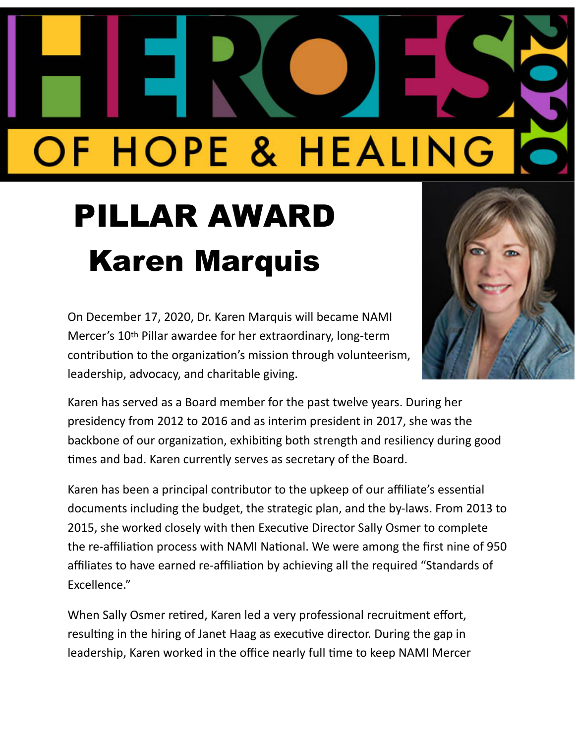## OF HOPE & HEALING

## PILLAR AWARD Karen Marquis

On December 17, 2020, Dr. Karen Marquis will became NAMI Mercer's 10th Pillar awardee for her extraordinary, long-term contribution to the organization's mission through volunteerism, leadership, advocacy, and charitable giving.



Karen has served as a Board member for the past twelve years. During her presidency from 2012 to 2016 and as interim president in 2017, she was the backbone of our organization, exhibiting both strength and resiliency during good times and bad. Karen currently serves as secretary of the Board.

Karen has been a principal contributor to the upkeep of our affiliate's essential documents including the budget, the strategic plan, and the by-laws. From 2013 to 2015, she worked closely with then Executive Director Sally Osmer to complete the re-affiliation process with NAMI National. We were among the first nine of 950 affiliates to have earned re-affiliation by achieving all the required "Standards of Excellence."

When Sally Osmer retired, Karen led a very professional recruitment effort, resulting in the hiring of Janet Haag as executive director. During the gap in leadership, Karen worked in the office nearly full time to keep NAMI Mercer